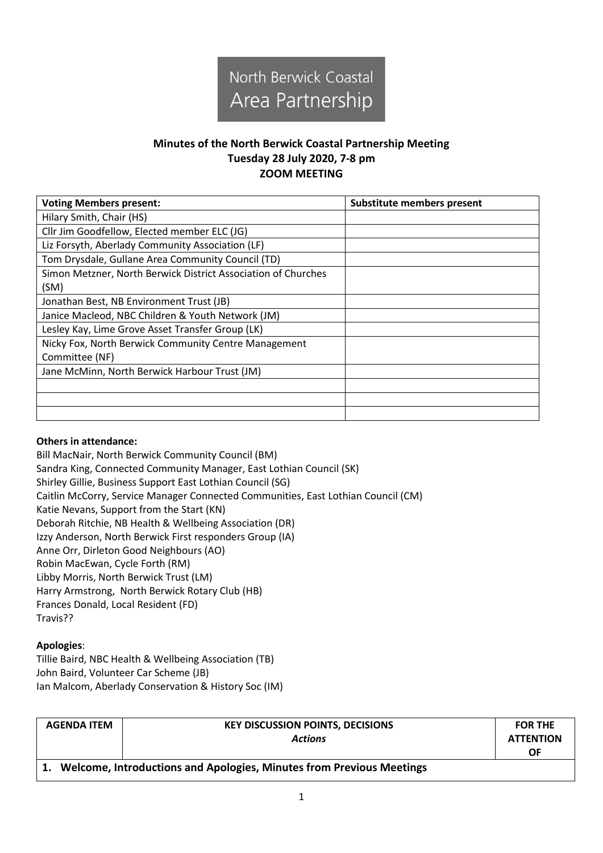

## **Minutes of the North Berwick Coastal Partnership Meeting Tuesday 28 July 2020, 7-8 pm ZOOM MEETING**

| <b>Voting Members present:</b>                                | <b>Substitute members present</b> |
|---------------------------------------------------------------|-----------------------------------|
| Hilary Smith, Chair (HS)                                      |                                   |
| Cllr Jim Goodfellow, Elected member ELC (JG)                  |                                   |
| Liz Forsyth, Aberlady Community Association (LF)              |                                   |
| Tom Drysdale, Gullane Area Community Council (TD)             |                                   |
| Simon Metzner, North Berwick District Association of Churches |                                   |
| (SM)                                                          |                                   |
| Jonathan Best, NB Environment Trust (JB)                      |                                   |
| Janice Macleod, NBC Children & Youth Network (JM)             |                                   |
| Lesley Kay, Lime Grove Asset Transfer Group (LK)              |                                   |
| Nicky Fox, North Berwick Community Centre Management          |                                   |
| Committee (NF)                                                |                                   |
| Jane McMinn, North Berwick Harbour Trust (JM)                 |                                   |
|                                                               |                                   |
|                                                               |                                   |
|                                                               |                                   |

## **Others in attendance:**

Bill MacNair, North Berwick Community Council (BM) Sandra King, Connected Community Manager, East Lothian Council (SK) Shirley Gillie, Business Support East Lothian Council (SG) Caitlin McCorry, Service Manager Connected Communities, East Lothian Council (CM) Katie Nevans, Support from the Start (KN) Deborah Ritchie, NB Health & Wellbeing Association (DR) Izzy Anderson, North Berwick First responders Group (IA) Anne Orr, Dirleton Good Neighbours (AO) Robin MacEwan, Cycle Forth (RM) Libby Morris, North Berwick Trust (LM) Harry Armstrong, North Berwick Rotary Club (HB) Frances Donald, Local Resident (FD) Travis??

## **Apologies**:

Tillie Baird, NBC Health & Wellbeing Association (TB) John Baird, Volunteer Car Scheme (JB) Ian Malcom, Aberlady Conservation & History Soc (IM)

| <b>AGENDA ITEM</b>                                                      | <b>KEY DISCUSSION POINTS, DECISIONS</b> | <b>FOR THE</b>   |  |
|-------------------------------------------------------------------------|-----------------------------------------|------------------|--|
|                                                                         | <b>Actions</b>                          | <b>ATTENTION</b> |  |
|                                                                         |                                         | ΟF               |  |
| 1. Welcome, Introductions and Apologies, Minutes from Previous Meetings |                                         |                  |  |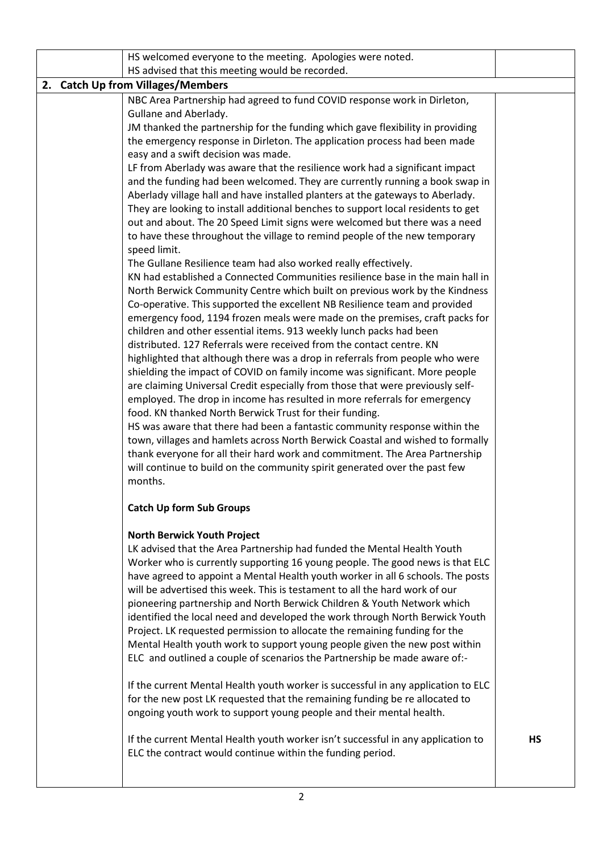|                                   | HS welcomed everyone to the meeting. Apologies were noted.                                                                                                     |           |  |
|-----------------------------------|----------------------------------------------------------------------------------------------------------------------------------------------------------------|-----------|--|
|                                   | HS advised that this meeting would be recorded.                                                                                                                |           |  |
| 2. Catch Up from Villages/Members |                                                                                                                                                                |           |  |
|                                   | NBC Area Partnership had agreed to fund COVID response work in Dirleton,                                                                                       |           |  |
|                                   | Gullane and Aberlady.<br>JM thanked the partnership for the funding which gave flexibility in providing                                                        |           |  |
|                                   | the emergency response in Dirleton. The application process had been made                                                                                      |           |  |
|                                   | easy and a swift decision was made.                                                                                                                            |           |  |
|                                   | LF from Aberlady was aware that the resilience work had a significant impact                                                                                   |           |  |
|                                   | and the funding had been welcomed. They are currently running a book swap in                                                                                   |           |  |
|                                   | Aberlady village hall and have installed planters at the gateways to Aberlady.                                                                                 |           |  |
|                                   | They are looking to install additional benches to support local residents to get                                                                               |           |  |
|                                   | out and about. The 20 Speed Limit signs were welcomed but there was a need                                                                                     |           |  |
|                                   | to have these throughout the village to remind people of the new temporary<br>speed limit.                                                                     |           |  |
|                                   | The Gullane Resilience team had also worked really effectively.                                                                                                |           |  |
|                                   | KN had established a Connected Communities resilience base in the main hall in                                                                                 |           |  |
|                                   | North Berwick Community Centre which built on previous work by the Kindness                                                                                    |           |  |
|                                   | Co-operative. This supported the excellent NB Resilience team and provided                                                                                     |           |  |
|                                   | emergency food, 1194 frozen meals were made on the premises, craft packs for                                                                                   |           |  |
|                                   | children and other essential items. 913 weekly lunch packs had been                                                                                            |           |  |
|                                   | distributed. 127 Referrals were received from the contact centre. KN                                                                                           |           |  |
|                                   | highlighted that although there was a drop in referrals from people who were<br>shielding the impact of COVID on family income was significant. More people    |           |  |
|                                   | are claiming Universal Credit especially from those that were previously self-                                                                                 |           |  |
|                                   | employed. The drop in income has resulted in more referrals for emergency                                                                                      |           |  |
|                                   | food. KN thanked North Berwick Trust for their funding.                                                                                                        |           |  |
|                                   | HS was aware that there had been a fantastic community response within the                                                                                     |           |  |
|                                   | town, villages and hamlets across North Berwick Coastal and wished to formally                                                                                 |           |  |
|                                   | thank everyone for all their hard work and commitment. The Area Partnership                                                                                    |           |  |
|                                   | will continue to build on the community spirit generated over the past few<br>months.                                                                          |           |  |
|                                   |                                                                                                                                                                |           |  |
|                                   | <b>Catch Up form Sub Groups</b>                                                                                                                                |           |  |
|                                   | <b>North Berwick Youth Project</b>                                                                                                                             |           |  |
|                                   | LK advised that the Area Partnership had funded the Mental Health Youth                                                                                        |           |  |
|                                   | Worker who is currently supporting 16 young people. The good news is that ELC                                                                                  |           |  |
|                                   | have agreed to appoint a Mental Health youth worker in all 6 schools. The posts<br>will be advertised this week. This is testament to all the hard work of our |           |  |
|                                   | pioneering partnership and North Berwick Children & Youth Network which                                                                                        |           |  |
|                                   | identified the local need and developed the work through North Berwick Youth                                                                                   |           |  |
|                                   | Project. LK requested permission to allocate the remaining funding for the                                                                                     |           |  |
|                                   | Mental Health youth work to support young people given the new post within                                                                                     |           |  |
|                                   | ELC and outlined a couple of scenarios the Partnership be made aware of:-                                                                                      |           |  |
|                                   | If the current Mental Health youth worker is successful in any application to ELC                                                                              |           |  |
|                                   | for the new post LK requested that the remaining funding be re allocated to                                                                                    |           |  |
|                                   | ongoing youth work to support young people and their mental health.                                                                                            |           |  |
|                                   |                                                                                                                                                                |           |  |
|                                   | If the current Mental Health youth worker isn't successful in any application to                                                                               | <b>HS</b> |  |
|                                   | ELC the contract would continue within the funding period.                                                                                                     |           |  |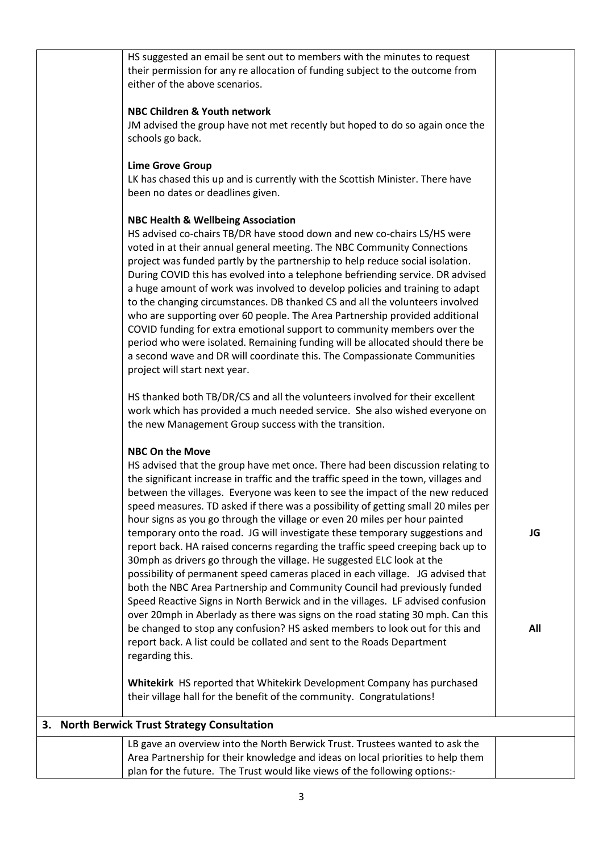| HS suggested an email be sent out to members with the minutes to request<br>their permission for any re allocation of funding subject to the outcome from<br>either of the above scenarios.                                                                                                                                                                                                                                                                                                                                                                                                                                                                                                                                                                                                                                                                                                                                                                                                                                                                                                                                                                                                                    |           |
|----------------------------------------------------------------------------------------------------------------------------------------------------------------------------------------------------------------------------------------------------------------------------------------------------------------------------------------------------------------------------------------------------------------------------------------------------------------------------------------------------------------------------------------------------------------------------------------------------------------------------------------------------------------------------------------------------------------------------------------------------------------------------------------------------------------------------------------------------------------------------------------------------------------------------------------------------------------------------------------------------------------------------------------------------------------------------------------------------------------------------------------------------------------------------------------------------------------|-----------|
| NBC Children & Youth network<br>JM advised the group have not met recently but hoped to do so again once the<br>schools go back.                                                                                                                                                                                                                                                                                                                                                                                                                                                                                                                                                                                                                                                                                                                                                                                                                                                                                                                                                                                                                                                                               |           |
| <b>Lime Grove Group</b><br>LK has chased this up and is currently with the Scottish Minister. There have<br>been no dates or deadlines given.                                                                                                                                                                                                                                                                                                                                                                                                                                                                                                                                                                                                                                                                                                                                                                                                                                                                                                                                                                                                                                                                  |           |
| <b>NBC Health &amp; Wellbeing Association</b><br>HS advised co-chairs TB/DR have stood down and new co-chairs LS/HS were<br>voted in at their annual general meeting. The NBC Community Connections<br>project was funded partly by the partnership to help reduce social isolation.<br>During COVID this has evolved into a telephone befriending service. DR advised<br>a huge amount of work was involved to develop policies and training to adapt<br>to the changing circumstances. DB thanked CS and all the volunteers involved<br>who are supporting over 60 people. The Area Partnership provided additional<br>COVID funding for extra emotional support to community members over the<br>period who were isolated. Remaining funding will be allocated should there be<br>a second wave and DR will coordinate this. The Compassionate Communities<br>project will start next year.                                                                                                                                                                                                                                                                                                                 |           |
| HS thanked both TB/DR/CS and all the volunteers involved for their excellent<br>work which has provided a much needed service. She also wished everyone on<br>the new Management Group success with the transition.                                                                                                                                                                                                                                                                                                                                                                                                                                                                                                                                                                                                                                                                                                                                                                                                                                                                                                                                                                                            |           |
| <b>NBC On the Move</b><br>HS advised that the group have met once. There had been discussion relating to<br>the significant increase in traffic and the traffic speed in the town, villages and<br>between the villages. Everyone was keen to see the impact of the new reduced<br>speed measures. TD asked if there was a possibility of getting small 20 miles per<br>hour signs as you go through the village or even 20 miles per hour painted<br>temporary onto the road. JG will investigate these temporary suggestions and<br>report back. HA raised concerns regarding the traffic speed creeping back up to<br>30mph as drivers go through the village. He suggested ELC look at the<br>possibility of permanent speed cameras placed in each village. JG advised that<br>both the NBC Area Partnership and Community Council had previously funded<br>Speed Reactive Signs in North Berwick and in the villages. LF advised confusion<br>over 20mph in Aberlady as there was signs on the road stating 30 mph. Can this<br>be changed to stop any confusion? HS asked members to look out for this and<br>report back. A list could be collated and sent to the Roads Department<br>regarding this. | JG<br>All |
| Whitekirk HS reported that Whitekirk Development Company has purchased<br>their village hall for the benefit of the community. Congratulations!                                                                                                                                                                                                                                                                                                                                                                                                                                                                                                                                                                                                                                                                                                                                                                                                                                                                                                                                                                                                                                                                |           |
| 3. North Berwick Trust Strategy Consultation                                                                                                                                                                                                                                                                                                                                                                                                                                                                                                                                                                                                                                                                                                                                                                                                                                                                                                                                                                                                                                                                                                                                                                   |           |
| LB gave an overview into the North Berwick Trust. Trustees wanted to ask the<br>Area Partnership for their knowledge and ideas on local priorities to help them<br>plan for the future. The Trust would like views of the following options:-                                                                                                                                                                                                                                                                                                                                                                                                                                                                                                                                                                                                                                                                                                                                                                                                                                                                                                                                                                  |           |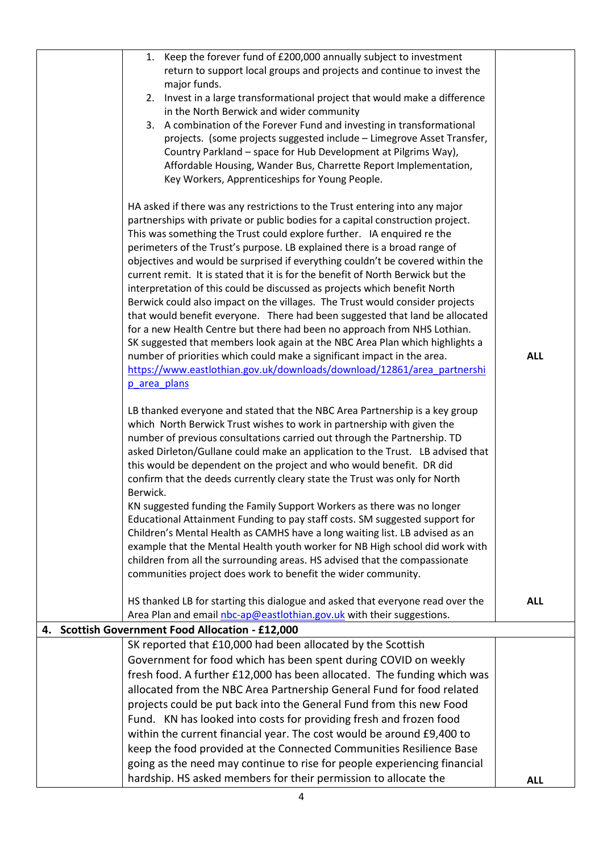| 1. Keep the forever fund of £200,000 annually subject to investment                                                                                        |            |
|------------------------------------------------------------------------------------------------------------------------------------------------------------|------------|
| return to support local groups and projects and continue to invest the                                                                                     |            |
| major funds.                                                                                                                                               |            |
| Invest in a large transformational project that would make a difference<br>2.                                                                              |            |
| in the North Berwick and wider community<br>3. A combination of the Forever Fund and investing in transformational                                         |            |
| projects. (some projects suggested include - Limegrove Asset Transfer,                                                                                     |            |
| Country Parkland - space for Hub Development at Pilgrims Way),                                                                                             |            |
| Affordable Housing, Wander Bus, Charrette Report Implementation,                                                                                           |            |
| Key Workers, Apprenticeships for Young People.                                                                                                             |            |
|                                                                                                                                                            |            |
| HA asked if there was any restrictions to the Trust entering into any major                                                                                |            |
| partnerships with private or public bodies for a capital construction project.                                                                             |            |
| This was something the Trust could explore further. IA enquired re the                                                                                     |            |
| perimeters of the Trust's purpose. LB explained there is a broad range of                                                                                  |            |
| objectives and would be surprised if everything couldn't be covered within the                                                                             |            |
| current remit. It is stated that it is for the benefit of North Berwick but the                                                                            |            |
| interpretation of this could be discussed as projects which benefit North                                                                                  |            |
| Berwick could also impact on the villages. The Trust would consider projects                                                                               |            |
| that would benefit everyone. There had been suggested that land be allocated                                                                               |            |
| for a new Health Centre but there had been no approach from NHS Lothian.                                                                                   |            |
| SK suggested that members look again at the NBC Area Plan which highlights a                                                                               | <b>ALL</b> |
| number of priorities which could make a significant impact in the area.<br>https://www.eastlothian.gov.uk/downloads/download/12861/area partnershi         |            |
| p area plans                                                                                                                                               |            |
|                                                                                                                                                            |            |
| LB thanked everyone and stated that the NBC Area Partnership is a key group                                                                                |            |
| which North Berwick Trust wishes to work in partnership with given the                                                                                     |            |
| number of previous consultations carried out through the Partnership. TD                                                                                   |            |
| asked Dirleton/Gullane could make an application to the Trust. LB advised that                                                                             |            |
| this would be dependent on the project and who would benefit. DR did                                                                                       |            |
| confirm that the deeds currently cleary state the Trust was only for North                                                                                 |            |
| Berwick.                                                                                                                                                   |            |
| KN suggested funding the Family Support Workers as there was no longer                                                                                     |            |
| Educational Attainment Funding to pay staff costs. SM suggested support for                                                                                |            |
| Children's Mental Health as CAMHS have a long waiting list. LB advised as an                                                                               |            |
| example that the Mental Health youth worker for NB High school did work with<br>children from all the surrounding areas. HS advised that the compassionate |            |
| communities project does work to benefit the wider community.                                                                                              |            |
|                                                                                                                                                            |            |
| HS thanked LB for starting this dialogue and asked that everyone read over the                                                                             | <b>ALL</b> |
| Area Plan and email nbc-ap@eastlothian.gov.uk with their suggestions.                                                                                      |            |
| 4. Scottish Government Food Allocation - £12,000                                                                                                           |            |
| SK reported that £10,000 had been allocated by the Scottish                                                                                                |            |
| Government for food which has been spent during COVID on weekly                                                                                            |            |
| fresh food. A further £12,000 has been allocated. The funding which was                                                                                    |            |
| allocated from the NBC Area Partnership General Fund for food related                                                                                      |            |
| projects could be put back into the General Fund from this new Food                                                                                        |            |
| Fund. KN has looked into costs for providing fresh and frozen food                                                                                         |            |
| within the current financial year. The cost would be around £9,400 to                                                                                      |            |
| keep the food provided at the Connected Communities Resilience Base                                                                                        |            |
| going as the need may continue to rise for people experiencing financial                                                                                   |            |
| hardship. HS asked members for their permission to allocate the                                                                                            | <b>ALL</b> |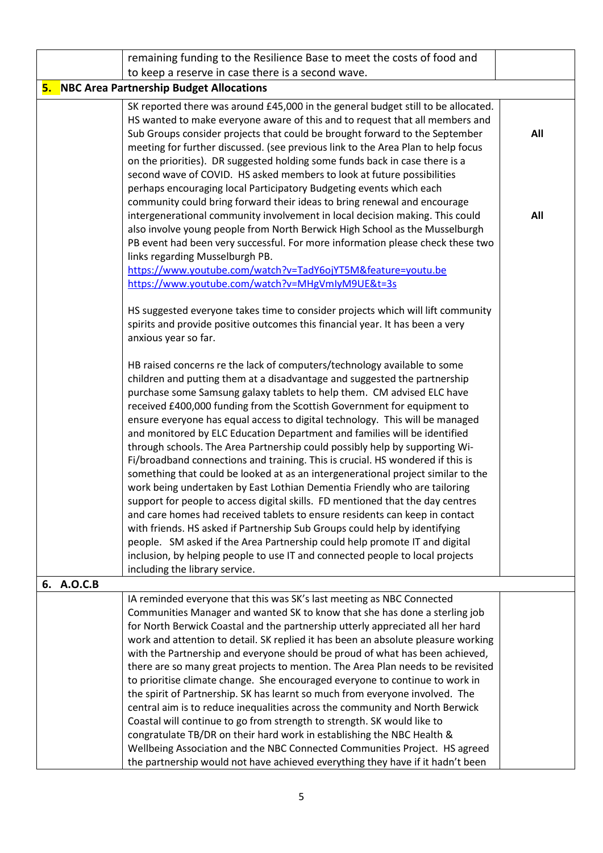|            | remaining funding to the Resilience Base to meet the costs of food and                                                                                    |     |
|------------|-----------------------------------------------------------------------------------------------------------------------------------------------------------|-----|
|            | to keep a reserve in case there is a second wave.                                                                                                         |     |
|            | <b>5. NBC Area Partnership Budget Allocations</b>                                                                                                         |     |
|            | SK reported there was around £45,000 in the general budget still to be allocated.                                                                         |     |
|            | HS wanted to make everyone aware of this and to request that all members and                                                                              |     |
|            | Sub Groups consider projects that could be brought forward to the September                                                                               | All |
|            | meeting for further discussed. (see previous link to the Area Plan to help focus                                                                          |     |
|            | on the priorities). DR suggested holding some funds back in case there is a                                                                               |     |
|            | second wave of COVID. HS asked members to look at future possibilities                                                                                    |     |
|            | perhaps encouraging local Participatory Budgeting events which each                                                                                       |     |
|            | community could bring forward their ideas to bring renewal and encourage                                                                                  |     |
|            | intergenerational community involvement in local decision making. This could                                                                              | All |
|            | also involve young people from North Berwick High School as the Musselburgh                                                                               |     |
|            | PB event had been very successful. For more information please check these two                                                                            |     |
|            | links regarding Musselburgh PB.                                                                                                                           |     |
|            | https://www.youtube.com/watch?v=TadY6ojYT5M&feature=youtu.be<br>https://www.youtube.com/watch?v=MHgVmIyM9UE&t=3s                                          |     |
|            |                                                                                                                                                           |     |
|            | HS suggested everyone takes time to consider projects which will lift community                                                                           |     |
|            | spirits and provide positive outcomes this financial year. It has been a very                                                                             |     |
|            | anxious year so far.                                                                                                                                      |     |
|            |                                                                                                                                                           |     |
|            | HB raised concerns re the lack of computers/technology available to some                                                                                  |     |
|            | children and putting them at a disadvantage and suggested the partnership                                                                                 |     |
|            | purchase some Samsung galaxy tablets to help them. CM advised ELC have                                                                                    |     |
|            | received £400,000 funding from the Scottish Government for equipment to                                                                                   |     |
|            | ensure everyone has equal access to digital technology. This will be managed                                                                              |     |
|            | and monitored by ELC Education Department and families will be identified                                                                                 |     |
|            | through schools. The Area Partnership could possibly help by supporting Wi-                                                                               |     |
|            | Fi/broadband connections and training. This is crucial. HS wondered if this is                                                                            |     |
|            | something that could be looked at as an intergenerational project similar to the                                                                          |     |
|            | work being undertaken by East Lothian Dementia Friendly who are tailoring                                                                                 |     |
|            | support for people to access digital skills. FD mentioned that the day centres                                                                            |     |
|            | and care homes had received tablets to ensure residents can keep in contact<br>with friends. HS asked if Partnership Sub Groups could help by identifying |     |
|            | people. SM asked if the Area Partnership could help promote IT and digital                                                                                |     |
|            | inclusion, by helping people to use IT and connected people to local projects                                                                             |     |
|            | including the library service.                                                                                                                            |     |
| 6. A.O.C.B |                                                                                                                                                           |     |
|            | IA reminded everyone that this was SK's last meeting as NBC Connected                                                                                     |     |
|            | Communities Manager and wanted SK to know that she has done a sterling job                                                                                |     |
|            | for North Berwick Coastal and the partnership utterly appreciated all her hard                                                                            |     |
|            | work and attention to detail. SK replied it has been an absolute pleasure working                                                                         |     |
|            | with the Partnership and everyone should be proud of what has been achieved,                                                                              |     |
|            | there are so many great projects to mention. The Area Plan needs to be revisited                                                                          |     |
|            | to prioritise climate change. She encouraged everyone to continue to work in                                                                              |     |
|            | the spirit of Partnership. SK has learnt so much from everyone involved. The                                                                              |     |
|            | central aim is to reduce inequalities across the community and North Berwick                                                                              |     |
|            | Coastal will continue to go from strength to strength. SK would like to                                                                                   |     |
|            | congratulate TB/DR on their hard work in establishing the NBC Health &                                                                                    |     |
|            | Wellbeing Association and the NBC Connected Communities Project. HS agreed                                                                                |     |
|            | the partnership would not have achieved everything they have if it hadn't been                                                                            |     |